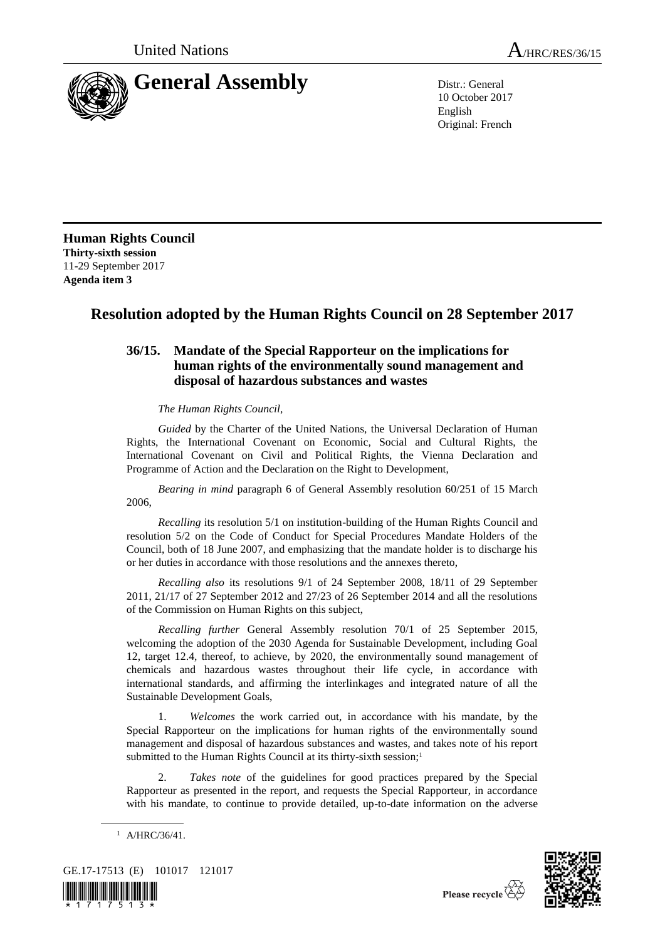

10 October 2017 English Original: French

**Human Rights Council Thirty-sixth session** 11-29 September 2017 **Agenda item 3**

## **Resolution adopted by the Human Rights Council on 28 September 2017**

## **36/15. Mandate of the Special Rapporteur on the implications for human rights of the environmentally sound management and disposal of hazardous substances and wastes**

*The Human Rights Council*,

*Guided* by the Charter of the United Nations, the Universal Declaration of Human Rights, the International Covenant on Economic, Social and Cultural Rights, the International Covenant on Civil and Political Rights, the Vienna Declaration and Programme of Action and the Declaration on the Right to Development,

*Bearing in mind* paragraph 6 of General Assembly resolution 60/251 of 15 March 2006,

*Recalling* its resolution 5/1 on institution-building of the Human Rights Council and resolution 5/2 on the Code of Conduct for Special Procedures Mandate Holders of the Council, both of 18 June 2007, and emphasizing that the mandate holder is to discharge his or her duties in accordance with those resolutions and the annexes thereto,

*Recalling also* its resolutions 9/1 of 24 September 2008, 18/11 of 29 September 2011, 21/17 of 27 September 2012 and 27/23 of 26 September 2014 and all the resolutions of the Commission on Human Rights on this subject,

*Recalling further* General Assembly resolution 70/1 of 25 September 2015, welcoming the adoption of the 2030 Agenda for Sustainable Development, including Goal 12, target 12.4, thereof, to achieve, by 2020, the environmentally sound management of chemicals and hazardous wastes throughout their life cycle, in accordance with international standards, and affirming the interlinkages and integrated nature of all the Sustainable Development Goals,

1. *Welcomes* the work carried out, in accordance with his mandate, by the Special Rapporteur on the implications for human rights of the environmentally sound management and disposal of hazardous substances and wastes, and takes note of his report submitted to the Human Rights Council at its thirty-sixth session;<sup>1</sup>

2. *Takes note* of the guidelines for good practices prepared by the Special Rapporteur as presented in the report, and requests the Special Rapporteur, in accordance with his mandate, to continue to provide detailed, up-to-date information on the adverse

<sup>1</sup> A/HRC/36/41.